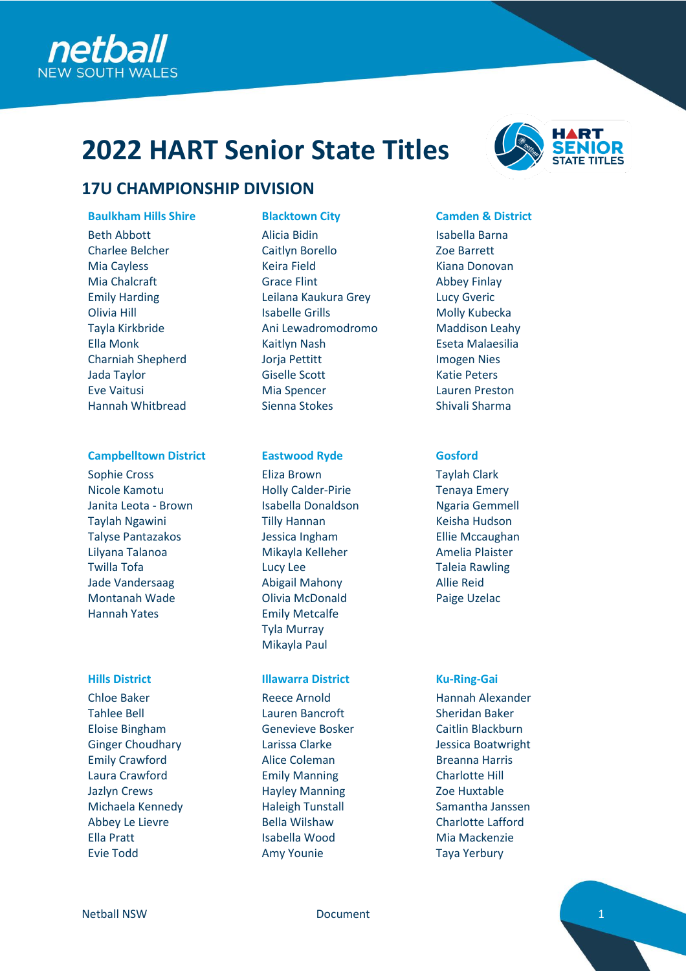

## **17U CHAMPIONSHIP DIVISION**

### **Baulkham Hills Shire Blacktown City Camden & District**

Beth Abbott Charlee Belcher Mia Cayless Mia Chalcraft Emily Harding Olivia Hill Tayla Kirkbride Ella Monk Charniah Shepherd Jada Taylor Eve Vaitusi Hannah Whitbread

### **Campbelltown District <b>Eastwood Ryde Gosford**

Sophie Cross Nicole Kamotu Janita Leota - Brown Taylah Ngawini Talyse Pantazakos Lilyana Talanoa Twilla Tofa Jade Vandersaag Montanah Wade Hannah Yates

Chloe Baker Tahlee Bell Eloise Bingham Ginger Choudhary Emily Crawford Laura Crawford Jazlyn Crews Michaela Kennedy Abbey Le Lievre Ella Pratt Evie Todd

Alicia Bidin Caitlyn Borello Keira Field Grace Flint Leilana Kaukura Grey Isabelle Grills Ani Lewadromodromo Kaitlyn Nash Jorja Pettitt Giselle Scott Mia Spencer Sienna Stokes

Eliza Brown Holly Calder-Pirie Isabella Donaldson Tilly Hannan Jessica Ingham Mikayla Kelleher Lucy Lee Abigail Mahony Olivia McDonald Emily Metcalfe Tyla Murray Mikayla Paul

### **Hills District Illawarra District Ku-Ring-Gai**

Reece Arnold Lauren Bancroft Genevieve Bosker Larissa Clarke Alice Coleman Emily Manning Hayley Manning Haleigh Tunstall Bella Wilshaw Isabella Wood Amy Younie



Isabella Barna Zoe Barrett Kiana Donovan Abbey Finlay Lucy Gveric Molly Kubecka Maddison Leahy Eseta Malaesilia Imogen Nies Katie Peters Lauren Preston Shivali Sharma

Taylah Clark Tenaya Emery Ngaria Gemmell Keisha Hudson Ellie Mccaughan Amelia Plaister Taleia Rawling Allie Reid Paige Uzelac

Hannah Alexander Sheridan Baker Caitlin Blackburn Jessica Boatwright Breanna Harris Charlotte Hill Zoe Huxtable Samantha Janssen Charlotte Lafford Mia Mackenzie Taya Yerbury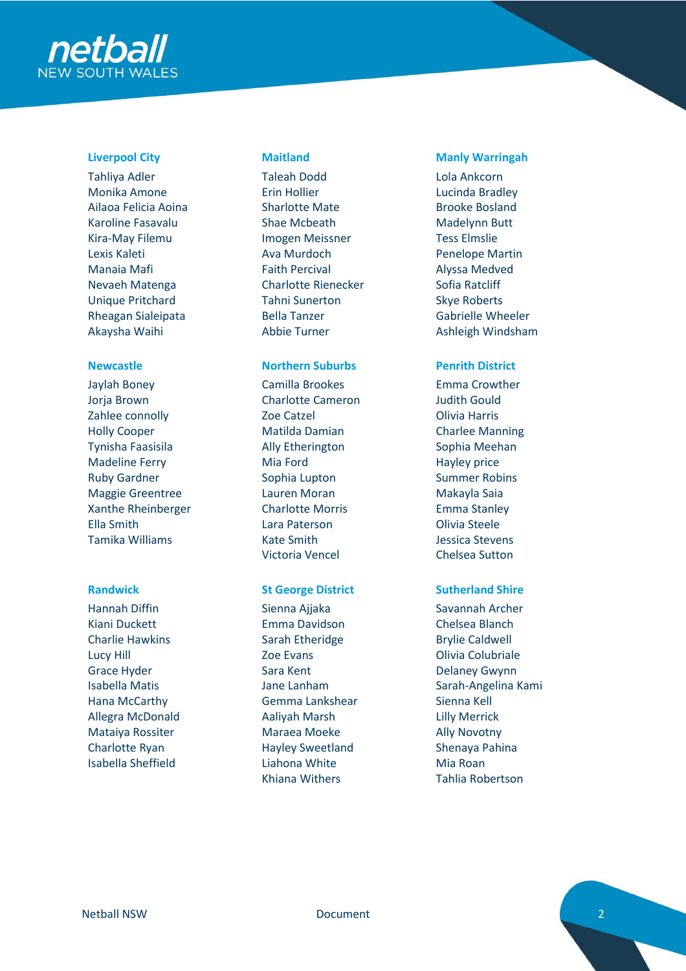

Tahliya Adler Monika Amone Ailaoa Felicia Aoina Karoline Fasavalu Kira-May Filemu Lexis Kaleti Manaia Mafi Nevaeh Matenga Unique Pritchard Rheagan Sialeipata Akaysha Waihi

Jaylah Boney Jorja Brown Zahlee connolly Holly Cooper Tynisha Faasisila Madeline Ferry Ruby Gardner Maggie Greentree Xanthe Rheinberger Ella Smith Tamika Williams

Hannah Diffin Kiani Duckett Charlie Hawkins Lucy Hill Grace Hyder Isabella Matis Hana McCarthy Allegra McDonald Mataiya Rossiter Charlotte Ryan Isabella Sheffield

Taleah Dodd Erin Hollier Sharlotte Mate Shae Mcbeath Imogen Meissner Ava Murdoch Faith Percival Charlotte Rienecker Tahni Sunerton Bella Tanzer Abbie Turner

### **Newcastle Northern Suburbs Penrith District**

Camilla Brookes Charlotte Cameron Zoe Catzel Matilda Damian Ally Etherington Mia Ford Sophia Lupton Lauren Moran Charlotte Morris Lara Paterson Kate Smith Victoria Vencel

### **Randwick St George District Sutherland Shire**

Sienna Ajjaka Emma Davidson Sarah Etheridge Zoe Evans Sara Kent Jane Lanham Gemma Lankshear Aaliyah Marsh Maraea Moeke Hayley Sweetland Liahona White Khiana Withers

### **Liverpool City Maitland Manly Warringah**

Lola Ankcorn Lucinda Bradley Brooke Bosland Madelynn Butt Tess Elmslie Penelope Martin Alyssa Medved Sofia Ratcliff Skye Roberts Gabrielle Wheeler Ashleigh Windsham

Emma Crowther Judith Gould Olivia Harris Charlee Manning Sophia Meehan Hayley price Summer Robins Makayla Saia Emma Stanley Olivia Steele Jessica Stevens Chelsea Sutton

Savannah Archer Chelsea Blanch Brylie Caldwell Olivia Colubriale Delaney Gwynn Sarah-Angelina Kami Sienna Kell Lilly Merrick Ally Novotny Shenaya Pahina Mia Roan Tahlia Robertson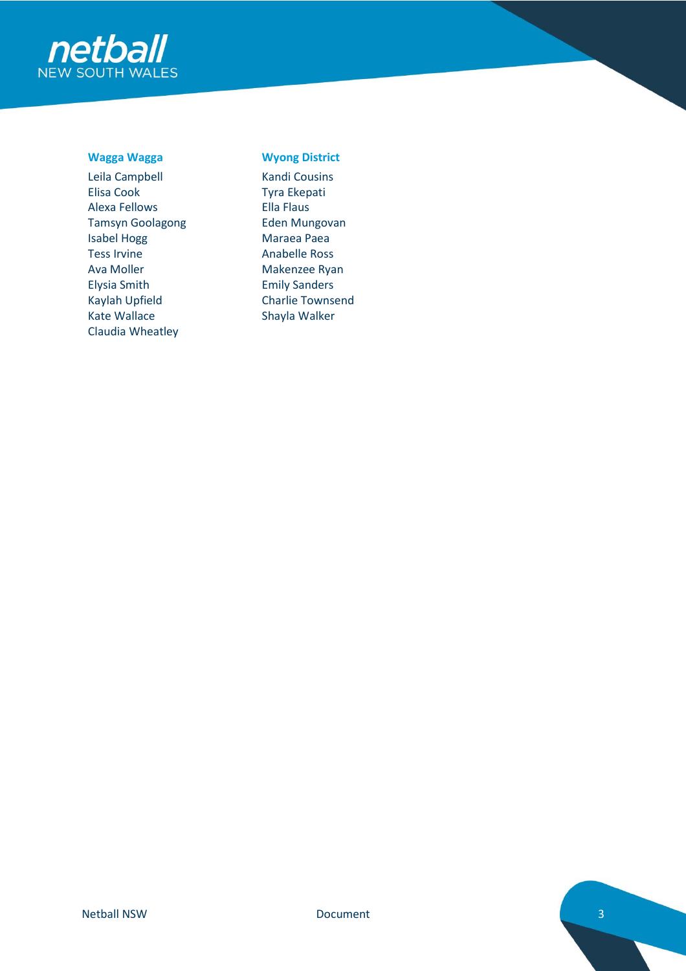

Leila Campbell Elisa Cook Alexa Fellows Tamsyn Goolagong Isabel Hogg Tess Irvine Ava Moller Elysia Smith Kaylah Upfield Kate Wallace Claudia Wheatley

### **Wagga Wagga Wyong District**

Kandi Cousins Tyra Ekepati Ella Flaus Eden Mungovan Maraea Paea Anabelle Ross Makenzee Ryan Emily Sanders Charlie Townsend Shayla Walker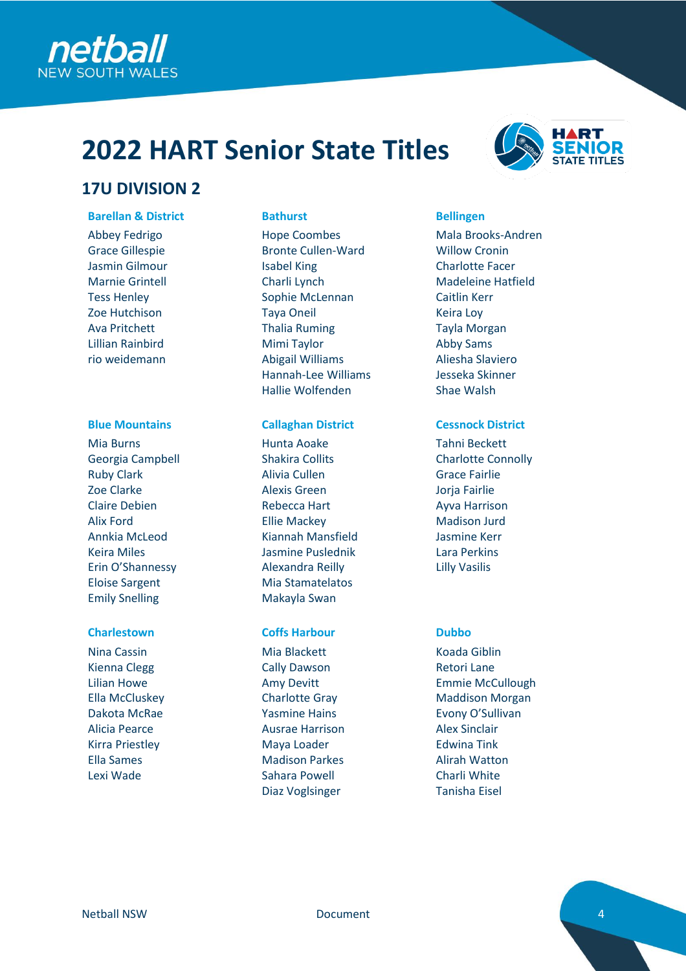

## **17U DIVISION 2**

### **Barellan & District Bathurst Bellingen**

Abbey Fedrigo Grace Gillespie Jasmin Gilmour Marnie Grintell Tess Henley Zoe Hutchison Ava Pritchett Lillian Rainbird rio weidemann

Mia Burns Georgia Campbell Ruby Clark Zoe Clarke Claire Debien Alix Ford Annkia McLeod Keira Miles Erin O'Shannessy Eloise Sargent Emily Snelling

Nina Cassin Kienna Clegg Lilian Howe Ella McCluskey Dakota McRae Alicia Pearce Kirra Priestley Ella Sames Lexi Wade

Hope Coombes Bronte Cullen-Ward Isabel King Charli Lynch Sophie McLennan Taya Oneil Thalia Ruming Mimi Taylor Abigail Williams Hannah-Lee Williams Hallie Wolfenden

### **Blue Mountains Callaghan District Cessnock District**

Hunta Aoake Shakira Collits Alivia Cullen Alexis Green Rebecca Hart Ellie Mackey Kiannah Mansfield Jasmine Puslednik Alexandra Reilly Mia Stamatelatos Makayla Swan

### **Charlestown Coffs Harbour Dubbo**

Mia Blackett Cally Dawson Amy Devitt Charlotte Gray Yasmine Hains Ausrae Harrison Maya Loader Madison Parkes Sahara Powell Diaz Voglsinger



Mala Brooks-Andren Willow Cronin Charlotte Facer Madeleine Hatfield Caitlin Kerr Keira Loy Tayla Morgan Abby Sams Aliesha Slaviero Jesseka Skinner Shae Walsh

Tahni Beckett Charlotte Connolly Grace Fairlie Jorja Fairlie Ayva Harrison Madison Jurd Jasmine Kerr Lara Perkins Lilly Vasilis

Koada Giblin Retori Lane Emmie McCullough Maddison Morgan Evony O'Sullivan Alex Sinclair Edwina Tink Alirah Watton Charli White Tanisha Eisel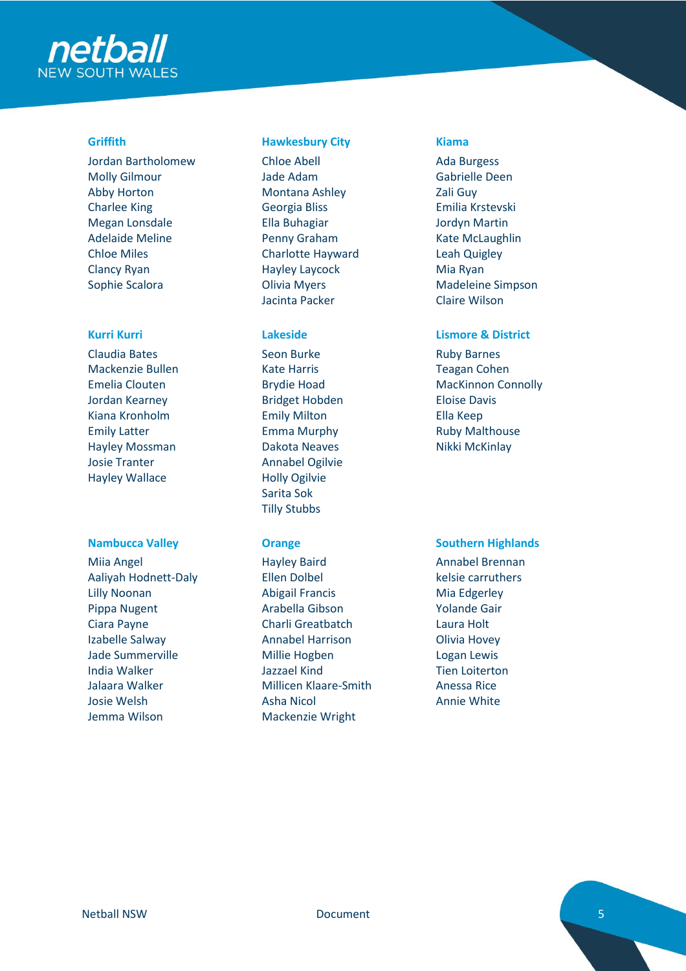

Jordan Bartholomew Molly Gilmour Abby Horton Charlee King Megan Lonsdale Adelaide Meline Chloe Miles Clancy Ryan Sophie Scalora

Claudia Bates Mackenzie Bullen Emelia Clouten Jordan Kearney Kiana Kronholm Emily Latter Hayley Mossman Josie Tranter Hayley Wallace

Miia Angel Aaliyah Hodnett-Daly Lilly Noonan Pippa Nugent Ciara Payne Izabelle Salway Jade Summerville India Walker Jalaara Walker Josie Welsh Jemma Wilson

### **Griffith Hawkesbury City Kiama**

Chloe Abell Jade Adam Montana Ashley Georgia Bliss Ella Buhagiar Penny Graham Charlotte Hayward Hayley Laycock Olivia Myers Jacinta Packer

Seon Burke Kate Harris Brydie Hoad Bridget Hobden Emily Milton Emma Murphy Dakota Neaves Annabel Ogilvie Holly Ogilvie Sarita Sok Tilly Stubbs

Hayley Baird Ellen Dolbel Abigail Francis Arabella Gibson Charli Greatbatch Annabel Harrison Millie Hogben Jazzael Kind Millicen Klaare-Smith Asha Nicol Mackenzie Wright

Ada Burgess Gabrielle Deen Zali Guy Emilia Krstevski Jordyn Martin Kate McLaughlin Leah Quigley Mia Ryan Madeleine Simpson Claire Wilson

### **Kurri Kurri Lakeside Lismore & District**

Ruby Barnes Teagan Cohen MacKinnon Connolly Eloise Davis Ella Keep Ruby Malthouse Nikki McKinlay

### **Nambucca Valley <b>Southern Highlands Orange Southern Highlands**

Annabel Brennan kelsie carruthers Mia Edgerley Yolande Gair Laura Holt Olivia Hovey Logan Lewis Tien Loiterton Anessa Rice Annie White

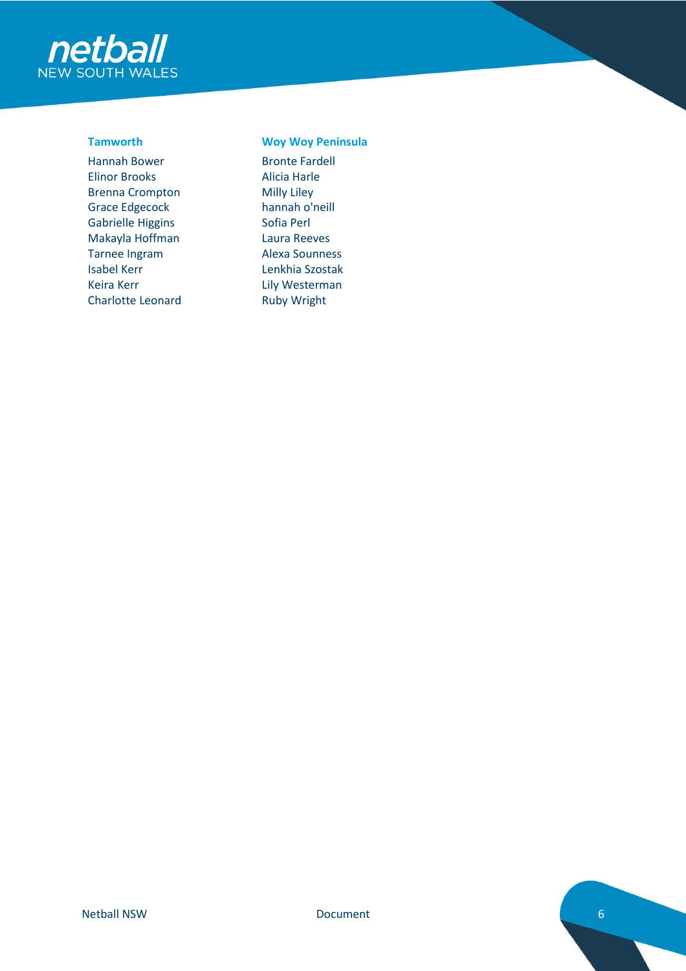

Hannah Bower Elinor Brooks Brenna Crompton Grace Edgecock Gabrielle Higgins Makayla Hoffman Tarnee Ingram Isabel Kerr Keira Kerr Charlotte Leonard

### **Tamworth Woy Woy Peninsula**

Bronte Fardell Alicia Harle Milly Liley hannah o'neill Sofia Perl Laura Reeves Alexa Sounness Lenkhia Szostak Lily Westerman Ruby Wright

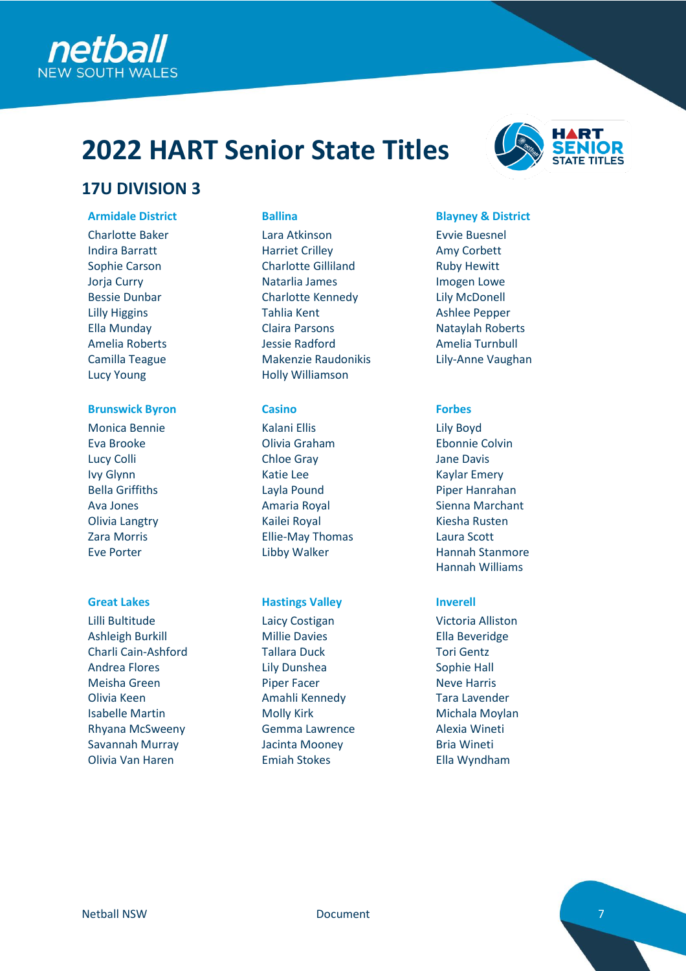

## **17U DIVISION 3**

Charlotte Baker Indira Barratt Sophie Carson Jorja Curry Bessie Dunbar Lilly Higgins Ella Munday Amelia Roberts Camilla Teague Lucy Young

### **Brunswick Byron Casino Casino Forbes**

Monica Bennie Eva Brooke Lucy Colli Ivy Glynn Bella Griffiths Ava Jones Olivia Langtry Zara Morris Eve Porter

Lilli Bultitude Ashleigh Burkill Charli Cain-Ashford Andrea Flores Meisha Green Olivia Keen Isabelle Martin Rhyana McSweeny Savannah Murray Olivia Van Haren

Lara Atkinson Harriet Crilley Charlotte Gilliland Natarlia James Charlotte Kennedy Tahlia Kent Claira Parsons Jessie Radford Makenzie Raudonikis Holly Williamson

Kalani Ellis Olivia Graham Chloe Gray Katie Lee Layla Pound Amaria Royal Kailei Royal Ellie-May Thomas Libby Walker

### **Great Lakes Hastings Valley Inverell**

Laicy Costigan Millie Davies Tallara Duck Lily Dunshea Piper Facer Amahli Kennedy Molly Kirk Gemma Lawrence Jacinta Mooney Emiah Stokes



### **Armidale District Ballina Blayney & District**

Evvie Buesnel Amy Corbett Ruby Hewitt Imogen Lowe Lily McDonell Ashlee Pepper Nataylah Roberts Amelia Turnbull Lily-Anne Vaughan

Lily Boyd Ebonnie Colvin Jane Davis Kaylar Emery Piper Hanrahan Sienna Marchant Kiesha Rusten Laura Scott Hannah Stanmore Hannah Williams

Victoria Alliston Ella Beveridge Tori Gentz Sophie Hall Neve Harris Tara Lavender Michala Moylan Alexia Wineti Bria Wineti Ella Wyndham

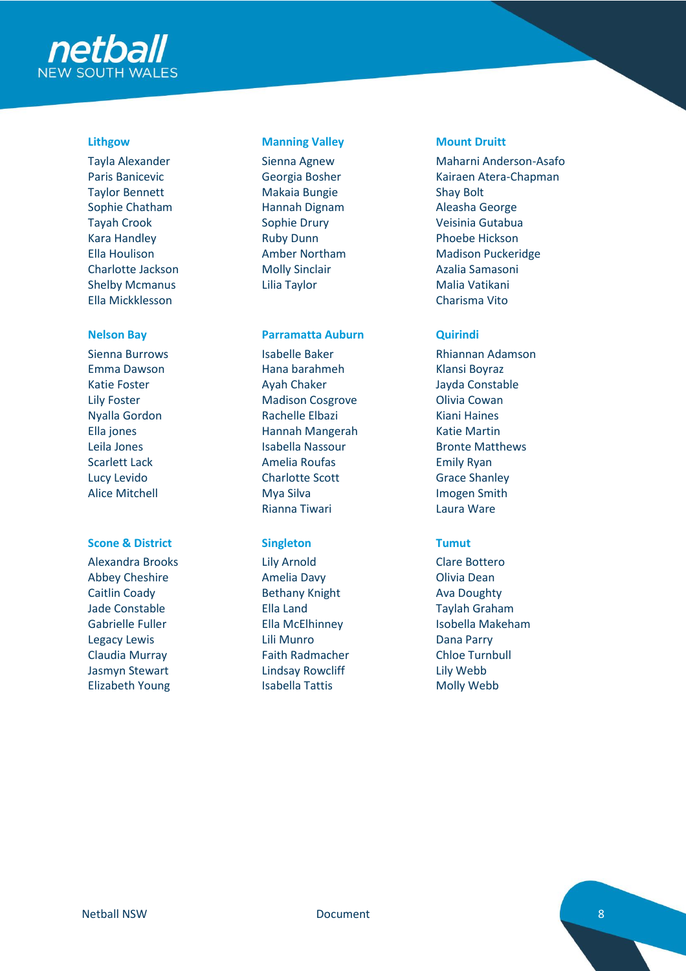

Tayla Alexander Paris Banicevic Taylor Bennett Sophie Chatham Tayah Crook Kara Handley Ella Houlison Charlotte Jackson Shelby Mcmanus Ella Mickklesson

Sienna Burrows Emma Dawson Katie Foster Lily Foster Nyalla Gordon Ella jones Leila Jones Scarlett Lack Lucy Levido Alice Mitchell

### **Scone & District Singleton Tumut**

Alexandra Brooks Abbey Cheshire Caitlin Coady Jade Constable Gabrielle Fuller Legacy Lewis Claudia Murray Jasmyn Stewart Elizabeth Young

### **Lithgow Manning Valley Mount Druitt**

Sienna Agnew Georgia Bosher Makaia Bungie Hannah Dignam Sophie Drury Ruby Dunn Amber Northam Molly Sinclair Lilia Taylor

### **Nelson Bay Parramatta Auburn Quirindi**

Isabelle Baker Hana barahmeh Ayah Chaker Madison Cosgrove Rachelle Elbazi Hannah Mangerah Isabella Nassour Amelia Roufas Charlotte Scott Mya Silva Rianna Tiwari

Lily Arnold Amelia Davy Bethany Knight Ella Land Ella McElhinney Lili Munro Faith Radmacher Lindsay Rowcliff Isabella Tattis

Maharni Anderson-Asafo Kairaen Atera-Chapman Shay Bolt Aleasha George Veisinia Gutabua Phoebe Hickson Madison Puckeridge Azalia Samasoni Malia Vatikani Charisma Vito

Rhiannan Adamson Klansi Boyraz Jayda Constable Olivia Cowan Kiani Haines Katie Martin Bronte Matthews Emily Ryan Grace Shanley Imogen Smith Laura Ware

Clare Bottero Olivia Dean Ava Doughty Taylah Graham Isobella Makeham Dana Parry Chloe Turnbull Lily Webb Molly Webb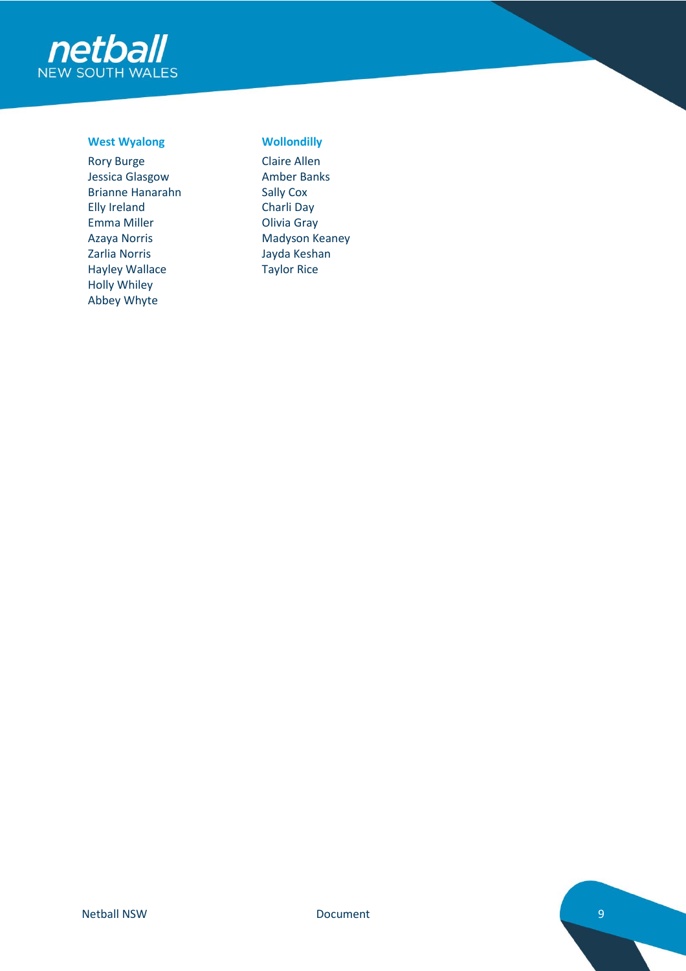

### **West Wyalong Wollondilly**

Rory Burge Jessica Glasgow Brianne Hanarahn Elly Ireland Emma Miller Azaya Norris Zarlia Norris Hayley Wallace Holly Whiley Abbey Whyte

Claire Allen Amber Banks Sally Cox Charli Day Olivia Gray Madyson Keaney Jayda Keshan Taylor Rice

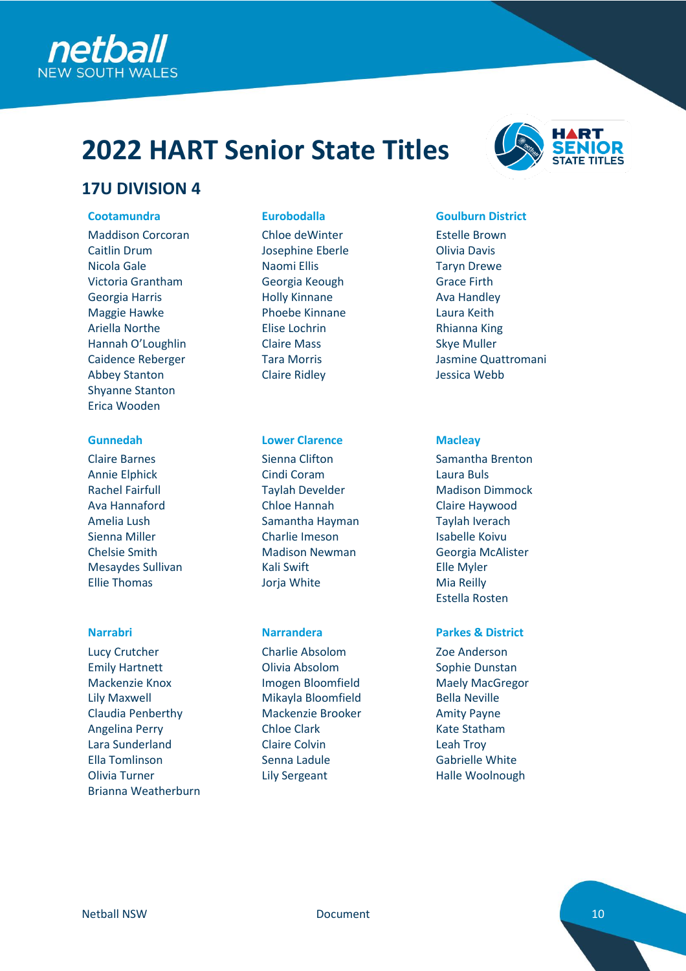



## **17U DIVISION 4**

Maddison Corcoran Caitlin Drum Nicola Gale Victoria Grantham Georgia Harris Maggie Hawke Ariella Northe Hannah O'Loughlin Caidence Reberger Abbey Stanton Shyanne Stanton Erica Wooden

Claire Barnes Annie Elphick Rachel Fairfull Ava Hannaford Amelia Lush Sienna Miller Chelsie Smith Mesaydes Sullivan Ellie Thomas

Lucy Crutcher Emily Hartnett Mackenzie Knox Lily Maxwell Claudia Penberthy Angelina Perry Lara Sunderland Ella Tomlinson Olivia Turner Brianna Weatherburn

Chloe deWinter Josephine Eberle Naomi Ellis Georgia Keough Holly Kinnane Phoebe Kinnane Elise Lochrin Claire Mass Tara Morris Claire Ridley

### **Gunnedah Lower Clarence Macleay**

Sienna Clifton Cindi Coram Taylah Develder Chloe Hannah Samantha Hayman Charlie Imeson Madison Newman Kali Swift Jorja White

Charlie Absolom Olivia Absolom Imogen Bloomfield Mikayla Bloomfield Mackenzie Brooker Chloe Clark Claire Colvin Senna Ladule Lily Sergeant

### **Cootamundra Eurobodalla Goulburn District**

Estelle Brown Olivia Davis Taryn Drewe Grace Firth Ava Handley Laura Keith Rhianna King Skye Muller Jasmine Quattromani Jessica Webb

Samantha Brenton Laura Buls Madison Dimmock Claire Haywood Taylah Iverach Isabelle Koivu Georgia McAlister Elle Myler Mia Reilly Estella Rosten

### **Narrabri Narrandera Parkes & District**

Zoe Anderson Sophie Dunstan Maely MacGregor Bella Neville Amity Payne Kate Statham Leah Troy Gabrielle White Halle Woolnough